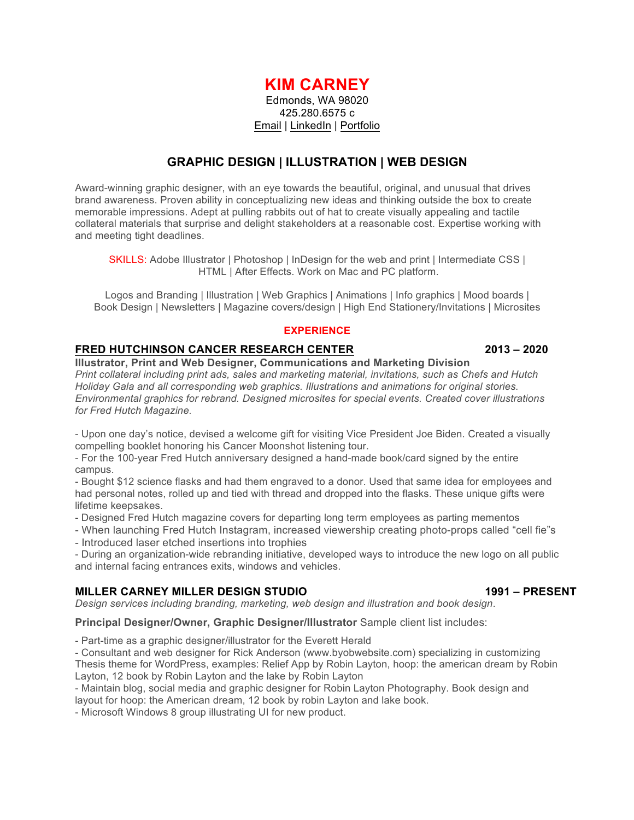# **KIM CARNEY**

Edmonds, WA 98020 425.280.6575 c Email | LinkedIn | Portfolio

## **GRAPHIC DESIGN | ILLUSTRATION | WEB DESIGN**

Award-winning graphic designer, with an eye towards the beautiful, original, and unusual that drives brand awareness. Proven ability in conceptualizing new ideas and thinking outside the box to create memorable impressions. Adept at pulling rabbits out of hat to create visually appealing and tactile collateral materials that surprise and delight stakeholders at a reasonable cost. Expertise working with and meeting tight deadlines.

SKILLS: Adobe Illustrator | Photoshop | InDesign for the web and print | Intermediate CSS | HTML | After Effects. Work on Mac and PC platform.

Logos and Branding | Illustration | Web Graphics | Animations | Info graphics | Mood boards | Book Design | Newsletters | Magazine covers/design | High End Stationery/Invitations | Microsites

### **EXPERIENCE**

## **FRED HUTCHINSON CANCER RESEARCH CENTER 2013 – 2020**

**Illustrator, Print and Web Designer, Communications and Marketing Division** *Print collateral including print ads, sales and marketing material, invitations, such as Chefs and Hutch Holiday Gala and all corresponding web graphics. Illustrations and animations for original stories. Environmental graphics for rebrand. Designed microsites for special events. Created cover illustrations for Fred Hutch Magazine.*

- Upon one day's notice, devised a welcome gift for visiting Vice President Joe Biden. Created a visually compelling booklet honoring his Cancer Moonshot listening tour.

- For the 100-year Fred Hutch anniversary designed a hand-made book/card signed by the entire campus.

- Bought \$12 science flasks and had them engraved to a donor. Used that same idea for employees and had personal notes, rolled up and tied with thread and dropped into the flasks. These unique gifts were lifetime keepsakes.

- Designed Fred Hutch magazine covers for departing long term employees as parting mementos

- When launching Fred Hutch Instagram, increased viewership creating photo-props called "cell fie"s - Introduced laser etched insertions into trophies

- During an organization-wide rebranding initiative, developed ways to introduce the new logo on all public and internal facing entrances exits, windows and vehicles.

## **MILLER CARNEY MILLER DESIGN STUDIO 1991 – PRESENT**

*Design services including branding, marketing, web design and illustration and book design*.

**Principal Designer/Owner, Graphic Designer/Illustrator** Sample client list includes:

- Part-time as a graphic designer/illustrator for the Everett Herald

- Consultant and web designer for Rick Anderson (www.byobwebsite.com) specializing in customizing

Thesis theme for WordPress, examples: Relief App by Robin Layton, hoop: the american dream by Robin Layton, 12 book by Robin Layton and the lake by Robin Layton

- Maintain blog, social media and graphic designer for Robin Layton Photography. Book design and layout for hoop: the American dream, 12 book by robin Layton and lake book.

- Microsoft Windows 8 group illustrating UI for new product.